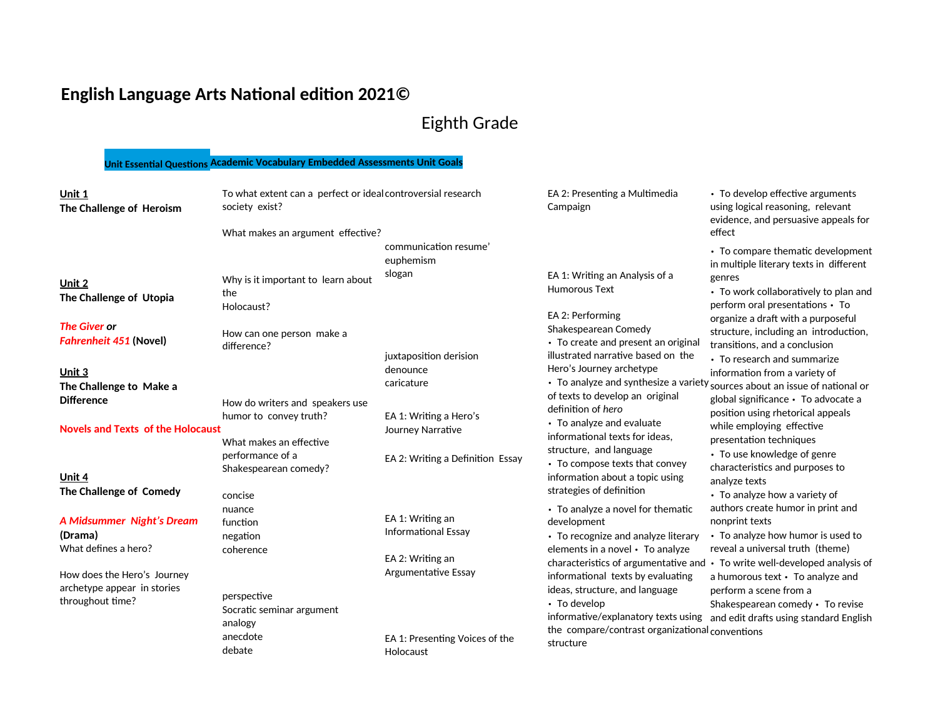## **English Language Arts National edition 2021©**

## Eighth Grade

| Unit 1<br>The Challenge of Heroism | To what extent can a perfect or ideal controversial research<br>society exist? |                                    | EA 2: Presenting a Multimedia<br>Campaign                           | • To develop effective arguments<br>using logical reasoning, relevant<br>evidence, and persuasive appeals for |
|------------------------------------|--------------------------------------------------------------------------------|------------------------------------|---------------------------------------------------------------------|---------------------------------------------------------------------------------------------------------------|
|                                    | What makes an argument effective?                                              |                                    |                                                                     | effect                                                                                                        |
|                                    |                                                                                | communication resume'<br>euphemism |                                                                     | • To compare thematic development<br>in multiple literary texts in different                                  |
| Unit 2                             | Why is it important to learn about                                             | slogan                             | EA 1: Writing an Analysis of a                                      | genres                                                                                                        |
| The Challenge of Utopia            | the                                                                            |                                    | <b>Humorous Text</b>                                                | • To work collaboratively to plan and                                                                         |
|                                    | Holocaust?                                                                     |                                    | EA 2: Performing                                                    | perform oral presentations • To                                                                               |
| <b>The Giver or</b>                |                                                                                |                                    | Shakespearean Comedy                                                | organize a draft with a purposeful<br>structure, including an introduction,                                   |
| <b>Fahrenheit 451 (Novel)</b>      | How can one person make a<br>difference?                                       |                                    | • To create and present an original                                 | transitions, and a conclusion                                                                                 |
|                                    |                                                                                | juxtaposition derision             | illustrated narrative based on the                                  | • To research and summarize                                                                                   |
| Unit 3                             |                                                                                | denounce                           | Hero's Journey archetype                                            | information from a variety of                                                                                 |
| The Challenge to Make a            |                                                                                | caricature                         |                                                                     | • To analyze and synthesize a variety <sub>sources</sub> about an issue of national or                        |
| <b>Difference</b>                  | How do writers and speakers use                                                |                                    | of texts to develop an original                                     | global significance · To advocate a                                                                           |
|                                    | humor to convey truth?                                                         | EA 1: Writing a Hero's             | definition of hero<br>• To analyze and evaluate                     | position using rhetorical appeals                                                                             |
| Novels and Texts of the Holocaust  |                                                                                | Journey Narrative                  | informational texts for ideas.                                      | while employing effective                                                                                     |
|                                    | What makes an effective                                                        |                                    | structure, and language                                             | presentation techniques<br>• To use knowledge of genre                                                        |
|                                    | performance of a<br>Shakespearean comedy?                                      | EA 2: Writing a Definition Essay   | • To compose texts that convey                                      | characteristics and purposes to                                                                               |
| Unit 4                             |                                                                                |                                    | information about a topic using                                     | analyze texts                                                                                                 |
| The Challenge of Comedy            | concise                                                                        |                                    | strategies of definition                                            | • To analyze how a variety of                                                                                 |
|                                    | nuance                                                                         |                                    | • To analyze a novel for thematic                                   | authors create humor in print and                                                                             |
| <b>A Midsummer Night's Dream</b>   | function                                                                       | EA 1: Writing an                   | development                                                         | nonprint texts                                                                                                |
| (Drama)                            | negation                                                                       | <b>Informational Essay</b>         | • To recognize and analyze literary                                 | • To analyze how humor is used to                                                                             |
| What defines a hero?               | coherence                                                                      | EA 2: Writing an                   | elements in a novel • To analyze                                    | reveal a universal truth (theme)                                                                              |
| How does the Hero's Journey        |                                                                                | Argumentative Essay                |                                                                     | characteristics of argumentative and • To write well-developed analysis of                                    |
| archetype appear in stories        |                                                                                |                                    | informational texts by evaluating<br>ideas, structure, and language | a humorous text • To analyze and<br>perform a scene from a                                                    |
| throughout time?                   | perspective                                                                    |                                    | • To develop                                                        | Shakespearean comedy · To revise                                                                              |
|                                    | Socratic seminar argument                                                      |                                    |                                                                     | informative/explanatory texts using and edit drafts using standard English                                    |
|                                    | analogy                                                                        |                                    | the compare/contrast organizational conventions                     |                                                                                                               |
|                                    | anecdote<br>debate                                                             | EA 1: Presenting Voices of the     | structure                                                           |                                                                                                               |
|                                    |                                                                                | Holocaust                          |                                                                     |                                                                                                               |